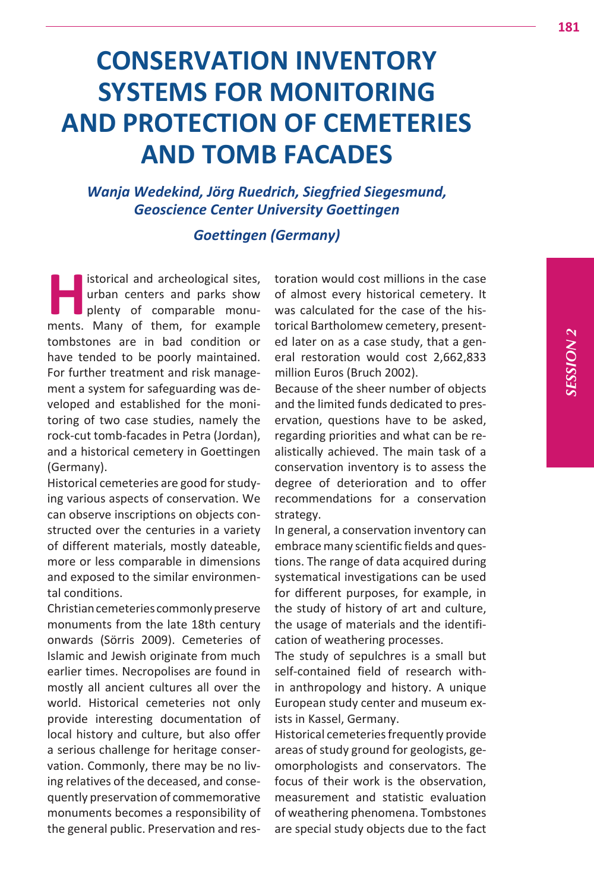# **CONSERVATION INVENTORY SYSTEMS FOR MONITORING AND PROTECTION OF CEMETERIES AND TOMB FACADES**

*Wanja Wedekind, Jörg Ruedrich, Siegfried Siegesmund, Geoscience Center University Goettingen* 

# *Goettingen (Germany)*

**Historical and archeological sites,**<br>
urban centers and parks show<br>
plenty of comparable monu-<br>
ments Many of them for example urban centers and parks show plenty of comparable monuments. Many of them, for example tombstones are in bad condition or have tended to be poorly maintained. For further treatment and risk management a system for safeguarding was developed and established for the monitoring of two case studies, namely the rock-cut tomb-facades in Petra (Jordan), and a historical cemetery in Goettingen (Germany).

Historical cemeteries are good for studying various aspects of conservation. We can observe inscriptions on objects constructed over the centuries in a variety of different materials, mostly dateable, more or less comparable in dimensions and exposed to the similar environmental conditions.

Christian cemeteries commonly preserve monuments from the late 18th century onwards (Sörris 2009). Cemeteries of Islamic and Jewish originate from much earlier times. Necropolises are found in mostly all ancient cultures all over the world. Historical cemeteries not only provide interesting documentation of local history and culture, but also offer a serious challenge for heritage conservation. Commonly, there may be no living relatives of the deceased, and consequently preservation of commemorative monuments becomes a responsibility of the general public. Preservation and restoration would cost millions in the case of almost every historical cemetery. It was calculated for the case of the historical Bartholomew cemetery, presented later on as a case study, that a general restoration would cost 2,662,833 million Euros (Bruch 2002).

Because of the sheer number of objects and the limited funds dedicated to preservation, questions have to be asked, regarding priorities and what can be realistically achieved. The main task of a conservation inventory is to assess the degree of deterioration and to offer recommendations for a conservation strategy.

In general, a conservation inventory can embrace many scientific fields and questions. The range of data acquired during systematical investigations can be used for different purposes, for example, in the study of history of art and culture, the usage of materials and the identification of weathering processes.

The study of sepulchres is a small but self-contained field of research within anthropology and history. A unique European study center and museum exists in Kassel, Germany.

Historical cemeteries frequently provide areas of study ground for geologists, geomorphologists and conservators. The focus of their work is the observation, measurement and statistic evaluation of weathering phenomena. Tombstones are special study objects due to the fact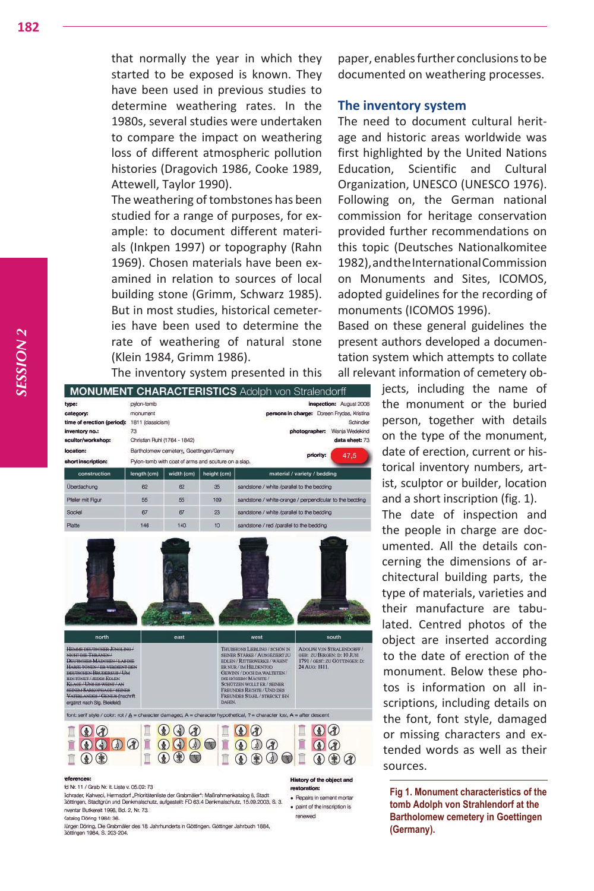that normally the year in which they started to be exposed is known. They have been used in previous studies to determine weathering rates. In the 1980s, several studies were undertaken to compare the impact on weathering loss of different atmospheric pollution histories (Dragovich 1986, Cooke 1989, Attewell, Taylor 1990).

The weathering of tombstones has been studied for a range of purposes, for example: to document different materials (Inkpen 1997) or topography (Rahn 1969). Chosen materials have been examined in relation to sources of local building stone (Grimm, Schwarz 1985). But in most studies, historical cemeteries have been used to determine the rate of weathering of natural stone (Klein 1984, Grimm 1986).

The inventory system presented in this

| type:<br>category:<br>time of erection (period): 1811 (classicism)<br>inventory no.:<br>scultor/workshop:                                                                                                                                                                                                                   | pylon-tomb<br>monument<br>73 | Christian Ruhl (1764 - 1842)                                                                      |                                                                                                                                                                                                                                                                                                      |                                            | inspection: August 200<br>persons in charge: Doreen Frydas, Kristin<br>Schindle<br>photographer: Wanja Wedekin<br>data sheet: 7 |  |
|-----------------------------------------------------------------------------------------------------------------------------------------------------------------------------------------------------------------------------------------------------------------------------------------------------------------------------|------------------------------|---------------------------------------------------------------------------------------------------|------------------------------------------------------------------------------------------------------------------------------------------------------------------------------------------------------------------------------------------------------------------------------------------------------|--------------------------------------------|---------------------------------------------------------------------------------------------------------------------------------|--|
| location:<br>short inscription:                                                                                                                                                                                                                                                                                             |                              | Bartholomew cernetery, Goettingen/Germany<br>Pylon-tomb with coat of arms and sculture on a slap. |                                                                                                                                                                                                                                                                                                      | priority:<br>47.5                          |                                                                                                                                 |  |
| construction                                                                                                                                                                                                                                                                                                                | length (cm)                  | width (cm)                                                                                        | height (cm)                                                                                                                                                                                                                                                                                          |                                            | material / variety / bedding                                                                                                    |  |
| Überdachung                                                                                                                                                                                                                                                                                                                 | 62                           | 62                                                                                                | 35                                                                                                                                                                                                                                                                                                   | sandstone / white /parallel to the bedding |                                                                                                                                 |  |
| Pleiler mit Figur                                                                                                                                                                                                                                                                                                           | 55                           | 55                                                                                                | 109                                                                                                                                                                                                                                                                                                  |                                            | sandstone / white-orange / perpendicular to the bedding                                                                         |  |
| Sockel                                                                                                                                                                                                                                                                                                                      | 67                           | 67                                                                                                | 23                                                                                                                                                                                                                                                                                                   | sandstone / white /parallel to the bedding |                                                                                                                                 |  |
| Platte                                                                                                                                                                                                                                                                                                                      | 146                          | 140                                                                                               | 10                                                                                                                                                                                                                                                                                                   | sandstone / red /parallel to the bedding   |                                                                                                                                 |  |
|                                                                                                                                                                                                                                                                                                                             |                              | east                                                                                              |                                                                                                                                                                                                                                                                                                      | west                                       | south                                                                                                                           |  |
| north<br>HEAGHE DEUTSCHER JONGLING<br>NICHT DIE THRANEN-<br>DEUTSCHES MADCHEN / LABDIE<br>HARFE TONEN / ER VERDEDIT DEN<br><b>ВЕГЛЯСНЕМ ВЕСКЛЕКИЯ / UM</b><br><b>HIN TONET/ HIDES EDUIN</b><br>KLAGE/UNS ES WEINT/AN<br><b>SEINEM SARKOPHAGE / SEINES</b><br>VATERLANDES / GENIUS Inschrift<br>ergänzt nach Sig. Bleiefeldt |                              |                                                                                                   | THUISHONS LIEBEING / SCHON IN<br>SEINER STÄRKE / AUSGEZIERT ZU<br>EDLEN / RITTERWERKE / WAHNT<br>ER NUR / IM HELDENTOD<br>GEWINN / DOCH DA WALTETEN /<br>DIE HÖHERN MACHTE /<br><b>SCHUTZEN WOLLT ER / SEINER</b><br><b>FREUNDES RECHTE / UND DES</b><br><b>FREUNDES STAHL/STRECKT IHM</b><br>DAHIN. |                                            | <b>ADOLPH VON STRALENDORFF /</b><br>GEB: ZU BERGEN: D: 10 JUNI<br>1791 / GEST: ZU GOTTINGEN: D:<br>24 AUG: 1811.                |  |
| font: serif style / color: rot / A = character damaged, A = character hypothetical, ? = character lost, A = after descent.                                                                                                                                                                                                  |                              |                                                                                                   |                                                                                                                                                                                                                                                                                                      |                                            |                                                                                                                                 |  |
| $\omega$                                                                                                                                                                                                                                                                                                                    |                              |                                                                                                   | 陶                                                                                                                                                                                                                                                                                                    |                                            |                                                                                                                                 |  |
| eferences:<br>Id Nr. 11 / Grab Nr. It. Liste v. 05.02: 73                                                                                                                                                                                                                                                                   |                              |                                                                                                   |                                                                                                                                                                                                                                                                                                      |                                            | History of the object and<br><i>restoration:</i>                                                                                |  |

:<br>Ichrader, Kahveol, Hermsdorf "Prioritätenliste der Grabmäler": Maßnahmenkatalog 6, Stadt<br>3öttingen, Stadtgrün und Denkmalschutz, aufgestellt: FD 63.4 Denkmalschutz, 15.09.2003, S. 3. · Becairs in cement mortar wentar Butkereit 1996, Bd. 2, Nr. 73. Catalog Döring 1984: 36.

· paint of the inscription is

renewed

lürgen Döring, Die Grabmäler des 18. Jahrhunderts in Göttingen. Göttinger Jahrbuch 1884, 3öttingen 1984, S. 203-204

paper, enables further conclusions to be documented on weathering processes.

# **The inventory system**

The need to document cultural heritage and historic areas worldwide was first highlighted by the United Nations Education, Scientific and Cultural Organization, UNESCO (UNESCO 1976). Following on, the German national commission for heritage conservation provided further recommendations on this topic (Deutsches Nationalkomitee 1982), and the International Commission on Monuments and Sites, ICOMOS, adopted guidelines for the recording of monuments (ICOMOS 1996).

Based on these general guidelines the present authors developed a documentation system which attempts to collate all relevant information of cemetery ob-

> jects, including the name of the monument or the buried person, together with details on the type of the monument, date of erection, current or historical inventory numbers, artist, sculptor or builder, location and a short inscription (fig. 1).

The date of inspection and the people in charge are documented. All the details concerning the dimensions of architectural building parts, the type of materials, varieties and their manufacture are tabulated. Centred photos of the object are inserted according to the date of erection of the monument. Below these photos is information on all inscriptions, including details on the font, font style, damaged or missing characters and extended words as well as their sources.

**Fig 1. Monument characteristics of the tomb Adolph von Strahlendorf at the Bartholomew cemetery in Goettingen (Germany).**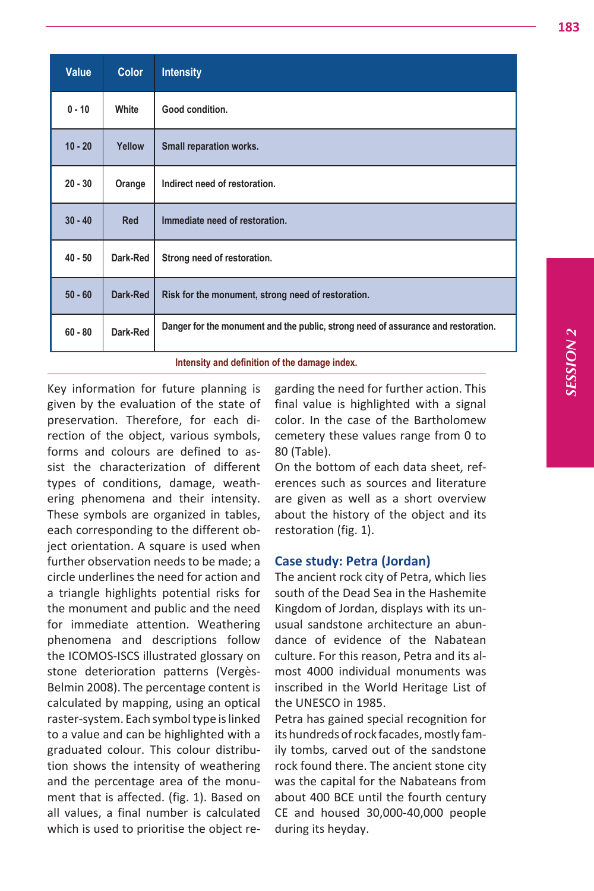*SESSION*  **2 VOISSZS3** 

| Value                                         | <b>Color</b> | <b>Intensity</b>                                                                  |  |  |
|-----------------------------------------------|--------------|-----------------------------------------------------------------------------------|--|--|
| $0 - 10$                                      | White        | Good condition.                                                                   |  |  |
| $10 - 20$                                     | Yellow       | Small reparation works.                                                           |  |  |
| $20 - 30$                                     | Orange       | Indirect need of restoration.                                                     |  |  |
| $30 - 40$                                     | Red          | Immediate need of restoration.                                                    |  |  |
| $40 - 50$                                     | Dark-Red     | Strong need of restoration.                                                       |  |  |
| $50 - 60$                                     | Dark-Red     | Risk for the monument, strong need of restoration.                                |  |  |
| $60 - 80$                                     | Dark-Red     | Danger for the monument and the public, strong need of assurance and restoration. |  |  |
| Intensity and definition of the damage index. |              |                                                                                   |  |  |

Key information for future planning is given by the evaluation of the state of preservation. Therefore, for each direction of the object, various symbols, forms and colours are defined to assist the characterization of different types of conditions, damage, weathering phenomena and their intensity. These symbols are organized in tables, each corresponding to the different object orientation. A square is used when further observation needs to be made; a circle underlines the need for action and a triangle highlights potential risks for the monument and public and the need for immediate attention. Weathering phenomena and descriptions follow the ICOMOS-ISCS illustrated glossary on stone deterioration patterns (Vergès-Belmin 2008). The percentage content is calculated by mapping, using an optical raster-system. Each symbol type is linked to a value and can be highlighted with a graduated colour. This colour distribution shows the intensity of weathering and the percentage area of the monument that is affected. (fig. 1). Based on all values, a final number is calculated which is used to prioritise the object regarding the need for further action. This final value is highlighted with a signal color. In the case of the Bartholomew cemetery these values range from 0 to 80 (Table).

On the bottom of each data sheet, references such as sources and literature are given as well as a short overview about the history of the object and its restoration (fig. 1).

## **Case study: Petra (Jordan)**

The ancient rock city of Petra, which lies south of the Dead Sea in the Hashemite Kingdom of Jordan, displays with its unusual sandstone architecture an abundance of evidence of the Nabatean culture. For this reason, Petra and its almost 4000 individual monuments was inscribed in the World Heritage List of the UNESCO in 1985.

Petra has gained special recognition for its hundreds of rock facades, mostly family tombs, carved out of the sandstone rock found there. The ancient stone city was the capital for the Nabateans from about 400 BCE until the fourth century CE and housed 30,000-40,000 people during its heyday.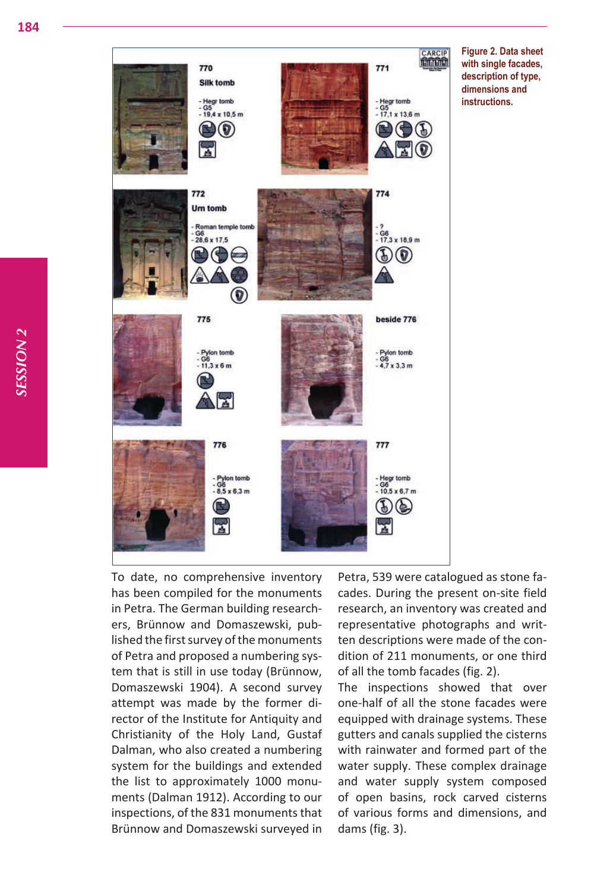

**Figure 2. Data sheet with single facades, description of type, dimensions and instructions.**

To date, no comprehensive inventory has been compiled for the monuments in Petra. The German building researchers, Brünnow and Domaszewski, published the first survey of the monuments of Petra and proposed a numbering system that is still in use today (Brünnow, Domaszewski 1904). A second survey attempt was made by the former director of the Institute for Antiquity and Christianity of the Holy Land, Gustaf Dalman, who also created a numbering system for the buildings and extended the list to approximately 1000 monuments (Dalman 1912). According to our inspections, of the 831 monuments that Brünnow and Domaszewski surveyed in

Petra, 539 were catalogued as stone facades. During the present on-site field research, an inventory was created and representative photographs and written descriptions were made of the condition of 211 monuments, or one third of all the tomb facades (fig. 2).

The inspections showed that over one-half of all the stone facades were equipped with drainage systems. These gutters and canals supplied the cisterns with rainwater and formed part of the water supply. These complex drainage and water supply system composed of open basins, rock carved cisterns of various forms and dimensions, and dams (fig. 3).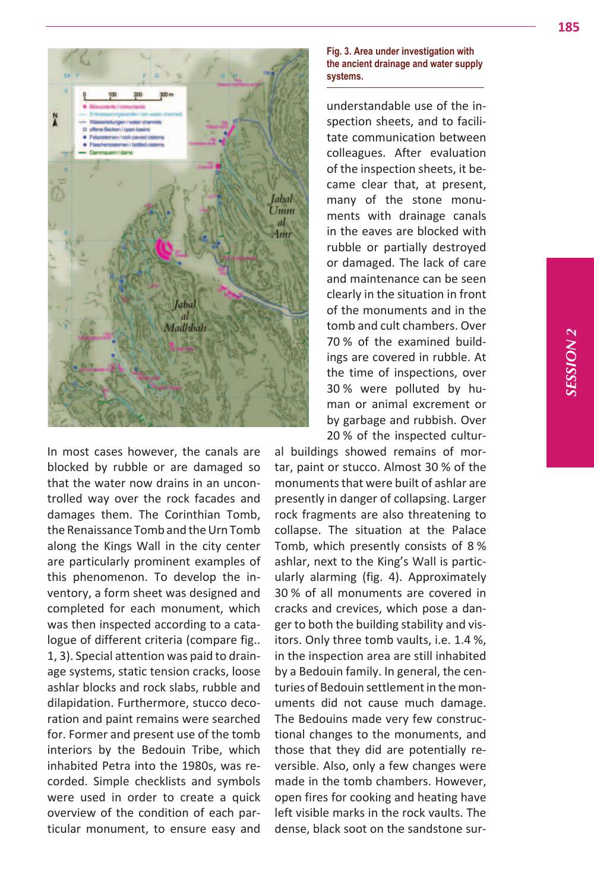

In most cases however, the canals are blocked by rubble or are damaged so that the water now drains in an uncontrolled way over the rock facades and damages them. The Corinthian Tomb, the Renaissance Tomb and the Urn Tomb along the Kings Wall in the city center are particularly prominent examples of this phenomenon. To develop the inventory, a form sheet was designed and completed for each monument, which was then inspected according to a catalogue of different criteria (compare fig.. 1, 3). Special attention was paid to drainage systems, static tension cracks, loose ashlar blocks and rock slabs, rubble and dilapidation. Furthermore, stucco decoration and paint remains were searched for. Former and present use of the tomb interiors by the Bedouin Tribe, which inhabited Petra into the 1980s, was recorded. Simple checklists and symbols were used in order to create a quick overview of the condition of each particular monument, to ensure easy and

#### **Fig. 3. Area under investigation with the ancient drainage and water supply systems.**

understandable use of the inspection sheets, and to facilitate communication between colleagues. After evaluation of the inspection sheets, it became clear that, at present, many of the stone monuments with drainage canals in the eaves are blocked with rubble or partially destroyed or damaged. The lack of care and maintenance can be seen clearly in the situation in front of the monuments and in the tomb and cult chambers. Over 70 % of the examined buildings are covered in rubble. At the time of inspections, over 30 % were polluted by human or animal excrement or by garbage and rubbish. Over 20 % of the inspected cultur-

al buildings showed remains of mortar, paint or stucco. Almost 30 % of the monuments that were built of ashlar are presently in danger of collapsing. Larger rock fragments are also threatening to collapse. The situation at the Palace Tomb, which presently consists of 8 % ashlar, next to the King's Wall is particularly alarming (fig. 4). Approximately 30 % of all monuments are covered in cracks and crevices, which pose a danger to both the building stability and visitors. Only three tomb vaults, i.e. 1.4 %, in the inspection area are still inhabited by a Bedouin family. In general, the centuries of Bedouin settlement in the monuments did not cause much damage. The Bedouins made very few constructional changes to the monuments, and those that they did are potentially reversible. Also, only a few changes were made in the tomb chambers. However, open fires for cooking and heating have left visible marks in the rock vaults. The dense, black soot on the sandstone sur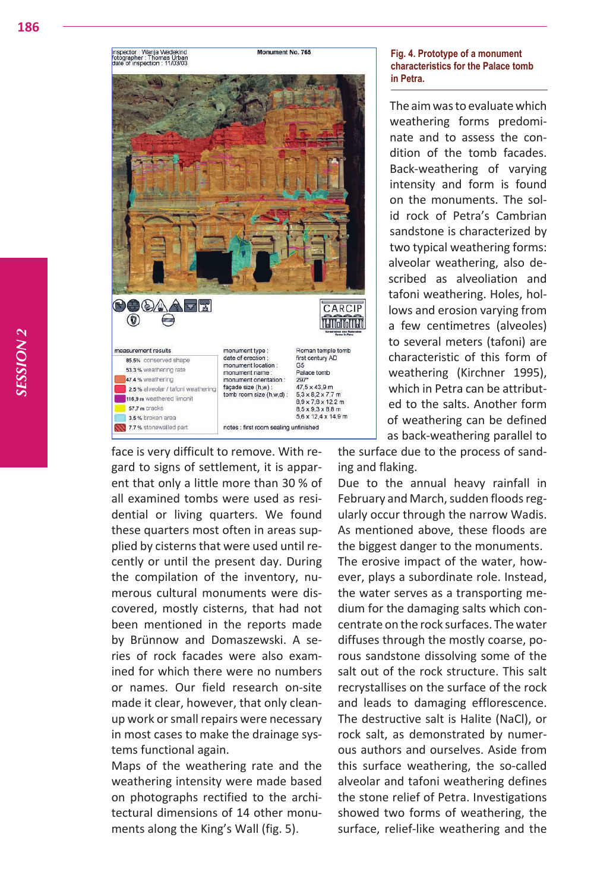inspector : Wanja Wedekind<br>fotographer : Thomas Urban<br>date of inspection : 11/03/03



face is very difficult to remove. With regard to signs of settlement, it is apparent that only a little more than 30 % of all examined tombs were used as residential or living quarters. We found these quarters most often in areas supplied by cisterns that were used until recently or until the present day. During the compilation of the inventory, numerous cultural monuments were discovered, mostly cisterns, that had not been mentioned in the reports made by Brünnow and Domaszewski. A series of rock facades were also examined for which there were no numbers or names. Our field research on-site made it clear, however, that only cleanup work or small repairs were necessary in most cases to make the drainage systems functional again.

Maps of the weathering rate and the weathering intensity were made based on photographs rectified to the architectural dimensions of 14 other monuments along the King's Wall (fig. 5).

# **Fig. 4. Prototype of a monument characteristics for the Palace tomb in Petra.**

The aim was to evaluate which weathering forms predominate and to assess the condition of the tomb facades. Back-weathering of varying intensity and form is found on the monuments. The solid rock of Petra's Cambrian sandstone is characterized by two typical weathering forms: alveolar weathering, also described as alveoliation and tafoni weathering. Holes, hollows and erosion varying from a few centimetres (alveoles) to several meters (tafoni) are characteristic of this form of weathering (Kirchner 1995), which in Petra can be attributed to the salts. Another form of weathering can be defined as back-weathering parallel to

the surface due to the process of sanding and flaking.

Due to the annual heavy rainfall in February and March, sudden floods regularly occur through the narrow Wadis. As mentioned above, these floods are the biggest danger to the monuments. The erosive impact of the water, however, plays a subordinate role. Instead, the water serves as a transporting medium for the damaging salts which concentrate on the rock surfaces. The water diffuses through the mostly coarse, porous sandstone dissolving some of the salt out of the rock structure. This salt recrystallises on the surface of the rock and leads to damaging efflorescence. The destructive salt is Halite (NaCl), or rock salt, as demonstrated by numerous authors and ourselves. Aside from this surface weathering, the so-called alveolar and tafoni weathering defines the stone relief of Petra. Investigations showed two forms of weathering, the surface, relief-like weathering and the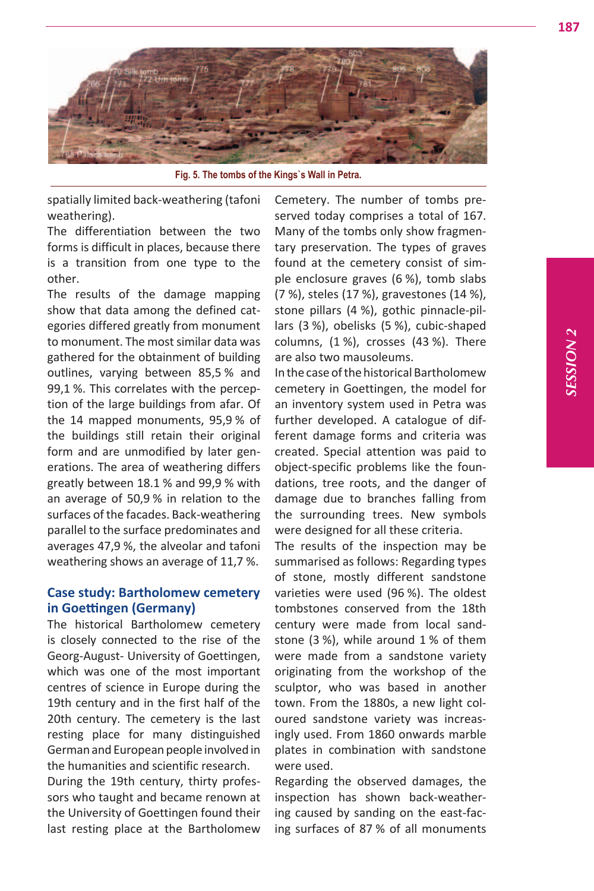

**Fig. 5. The tombs of the Kings`s Wall in Petra.**

spatially limited back-weathering (tafoni weathering).

The differentiation between the two forms is difficult in places, because there is a transition from one type to the other.

The results of the damage mapping show that data among the defined categories differed greatly from monument to monument. The most similar data was gathered for the obtainment of building outlines, varying between 85,5 % and 99,1 %. This correlates with the perception of the large buildings from afar. Of the 14 mapped monuments, 95,9 % of the buildings still retain their original form and are unmodified by later generations. The area of weathering differs greatly between 18.1 % and 99,9 % with an average of 50,9 % in relation to the surfaces of the facades. Back-weathering parallel to the surface predominates and averages 47,9 %, the alveolar and tafoni weathering shows an average of 11,7 %.

# **Case study: Bartholomew cemetery in Goettingen (Germany)**

The historical Bartholomew cemetery is closely connected to the rise of the Georg-August- University of Goettingen, which was one of the most important centres of science in Europe during the 19th century and in the first half of the 20th century. The cemetery is the last resting place for many distinguished German and European people involved in the humanities and scientific research.

During the 19th century, thirty professors who taught and became renown at the University of Goettingen found their last resting place at the Bartholomew

Cemetery. The number of tombs preserved today comprises a total of 167. Many of the tombs only show fragmentary preservation. The types of graves found at the cemetery consist of simple enclosure graves (6 %), tomb slabs (7 %), steles (17 %), gravestones (14 %), stone pillars (4 %), gothic pinnacle-pillars (3 %), obelisks (5 %), cubic-shaped columns, (1 %), crosses (43 %). There are also two mausoleums.

In the case of the historical Bartholomew cemetery in Goettingen, the model for an inventory system used in Petra was further developed. A catalogue of different damage forms and criteria was created. Special attention was paid to object-specific problems like the foundations, tree roots, and the danger of damage due to branches falling from the surrounding trees. New symbols were designed for all these criteria.

The results of the inspection may be summarised as follows: Regarding types of stone, mostly different sandstone varieties were used (96 %). The oldest tombstones conserved from the 18th century were made from local sandstone (3 %), while around 1 % of them were made from a sandstone variety originating from the workshop of the sculptor, who was based in another town. From the 1880s, a new light coloured sandstone variety was increasingly used. From 1860 onwards marble plates in combination with sandstone were used.

Regarding the observed damages, the inspection has shown back-weathering caused by sanding on the east-facing surfaces of 87 % of all monuments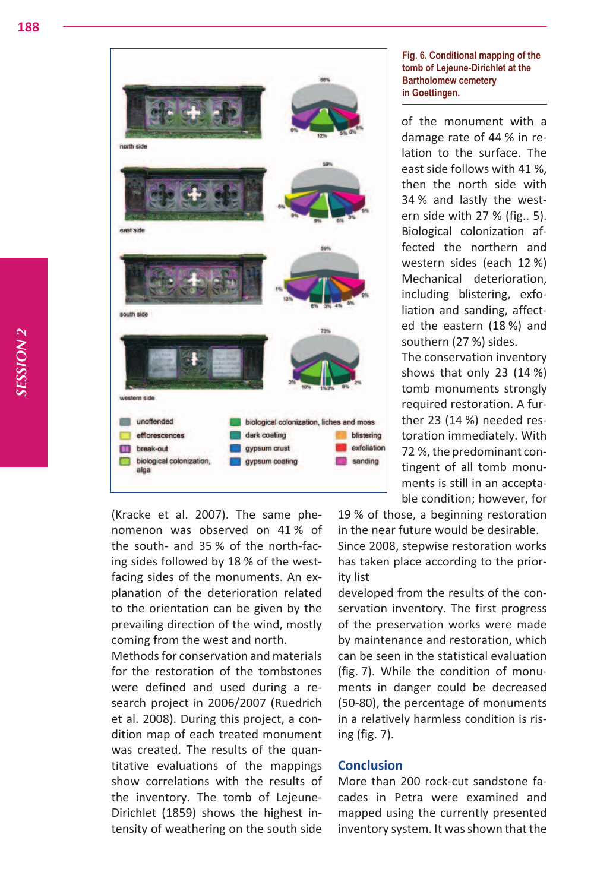

(Kracke et al. 2007). The same phenomenon was observed on 41 % of the south- and 35 % of the north-facing sides followed by 18 % of the westfacing sides of the monuments. An explanation of the deterioration related to the orientation can be given by the prevailing direction of the wind, mostly coming from the west and north.

Methods for conservation and materials for the restoration of the tombstones were defined and used during a research project in 2006/2007 (Ruedrich et al. 2008). During this project, a condition map of each treated monument was created. The results of the quantitative evaluations of the mappings show correlations with the results of the inventory. The tomb of Lejeune-Dirichlet (1859) shows the highest intensity of weathering on the south side

#### **Fig. 6. Conditional mapping of the tomb of Lejeune-Dirichlet at the Bartholomew cemetery in Goettingen.**

of the monument with a damage rate of 44 % in relation to the surface. The east side follows with 41 %, then the north side with 34 % and lastly the western side with 27 % (fig.. 5). Biological colonization affected the northern and western sides (each 12 %) Mechanical deterioration, including blistering, exfoliation and sanding, affected the eastern (18 %) and southern (27 %) sides.

The conservation inventory shows that only 23 (14 %) tomb monuments strongly required restoration. A further 23 (14 %) needed restoration immediately. With 72 %, the predominant contingent of all tomb monuments is still in an acceptable condition; however, for

19 % of those, a beginning restoration

in the near future would be desirable. Since 2008, stepwise restoration works has taken place according to the priority list

developed from the results of the conservation inventory. The first progress of the preservation works were made by maintenance and restoration, which can be seen in the statistical evaluation (fig. 7). While the condition of monuments in danger could be decreased (50-80), the percentage of monuments in a relatively harmless condition is rising (fig. 7).

# **Conclusion**

More than 200 rock-cut sandstone facades in Petra were examined and mapped using the currently presented inventory system. It was shown that the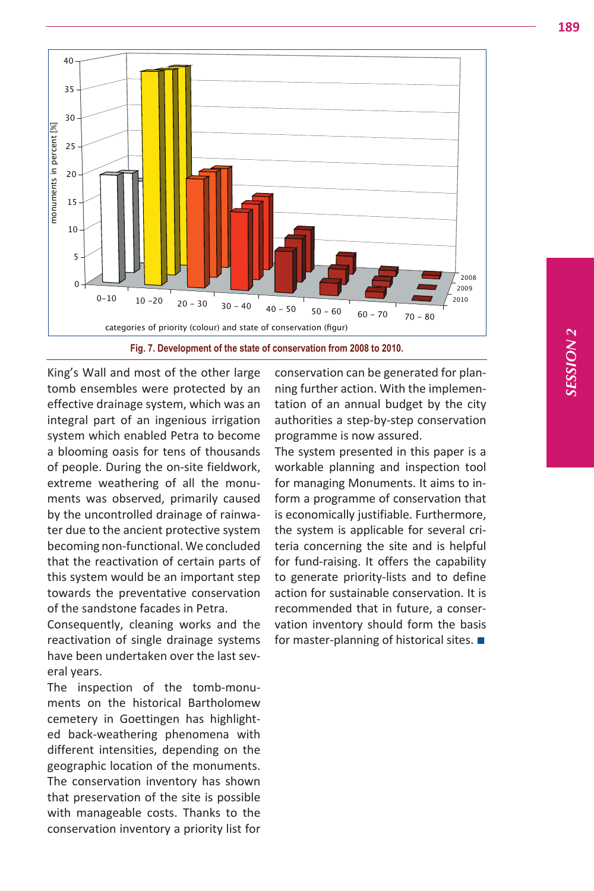



King's Wall and most of the other large tomb ensembles were protected by an effective drainage system, which was an integral part of an ingenious irrigation system which enabled Petra to become a blooming oasis for tens of thousands of people. During the on-site fieldwork, extreme weathering of all the monuments was observed, primarily caused by the uncontrolled drainage of rainwater due to the ancient protective system becoming non-functional. We concluded that the reactivation of certain parts of this system would be an important step towards the preventative conservation of the sandstone facades in Petra.

Consequently, cleaning works and the reactivation of single drainage systems have been undertaken over the last several years.

The inspection of the tomb-monuments on the historical Bartholomew cemetery in Goettingen has highlighted back-weathering phenomena with different intensities, depending on the geographic location of the monuments. The conservation inventory has shown that preservation of the site is possible with manageable costs. Thanks to the conservation inventory a priority list for

conservation can be generated for planning further action. With the implementation of an annual budget by the city authorities a step-by-step conservation programme is now assured.

The system presented in this paper is a workable planning and inspection tool for managing Monuments. It aims to inform a programme of conservation that is economically justifiable. Furthermore, the system is applicable for several criteria concerning the site and is helpful for fund-raising. It offers the capability to generate priority-lists and to define action for sustainable conservation. It is recommended that in future, a conservation inventory should form the basis for master-planning of historical sites. ■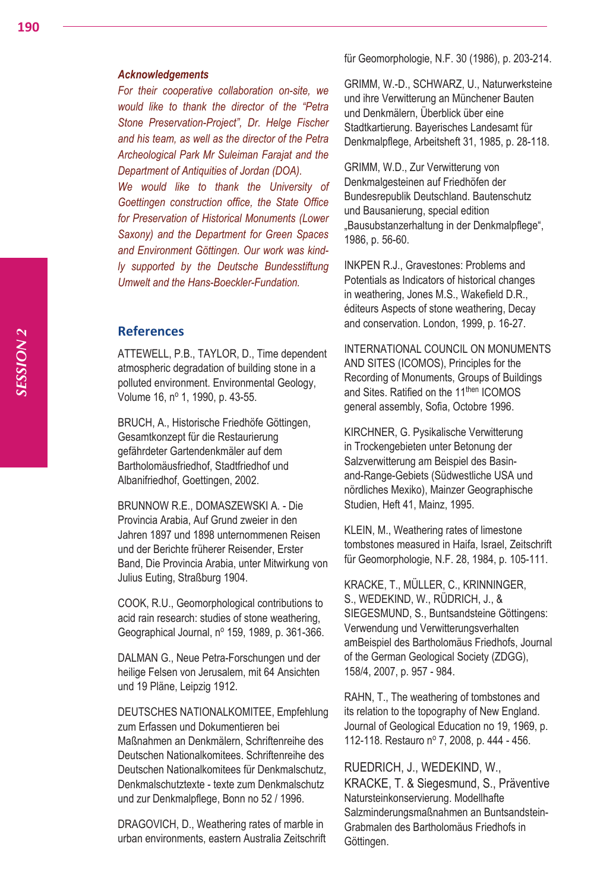für Geomorphologie, N.F. 30 (1986), p. 203-214.

### *Acknowledgements*

*For their cooperative collaboration on-site, we would like to thank the director of the "Petra Stone Preservation-Project", Dr. Helge Fischer and his team, as well as the director of the Petra Archeological Park Mr Suleiman Farajat and the Department of Antiquities of Jordan (DOA).*

*We would like to thank the University of Goettingen construction office, the State Office for Preservation of Historical Monuments (Lower Saxony) and the Department for Green Spaces and Environment Göttingen. Our work was kindly supported by the Deutsche Bundesstiftung Umwelt and the Hans-Boeckler-Fundation.*

# **References**

ATTEWELL, P.B., TAYLOR, D., Time dependent atmospheric degradation of building stone in a polluted environment. Environmental Geology, Volume 16, nº 1, 1990, p. 43-55.

BRUCH, A., Historische Friedhöfe Göttingen, Gesamtkonzept für die Restaurierung gefährdeter Gartendenkmäler auf dem Bartholomäusfriedhof, Stadtfriedhof und Albanifriedhof, Goettingen, 2002.

BRUNNOW R.E., DOMASZEWSKI A. - Die Provincia Arabia, Auf Grund zweier in den Jahren 1897 und 1898 unternommenen Reisen und der Berichte früherer Reisender, Erster Band, Die Provincia Arabia, unter Mitwirkung von Julius Euting, Straßburg 1904.

COOK, R.U., Geomorphological contributions to acid rain research: studies of stone weathering, Geographical Journal, nº 159, 1989, p. 361-366.

DALMAN G., Neue Petra-Forschungen und der heilige Felsen von Jerusalem, mit 64 Ansichten und 19 Pläne, Leipzig 1912.

DEUTSCHES NATIONALKOMITEE, Empfehlung zum Erfassen und Dokumentieren bei Maßnahmen an Denkmälern, Schriftenreihe des Deutschen Nationalkomitees. Schriftenreihe des Deutschen Nationalkomitees für Denkmalschutz, Denkmalschutztexte - texte zum Denkmalschutz und zur Denkmalpflege, Bonn no 52 / 1996.

DRAGOVICH, D., Weathering rates of marble in urban environments, eastern Australia Zeitschrift GRIMM, W.-D., SCHWARZ, U., Naturwerksteine und ihre Verwitterung an Münchener Bauten und Denkmälern, Überblick über eine Stadtkartierung. Bayerisches Landesamt für Denkmalpflege, Arbeitsheft 31, 1985, p. 28-118.

GRIMM, W.D., Zur Verwitterung von Denkmalgesteinen auf Friedhöfen der Bundesrepublik Deutschland. Bautenschutz und Bausanierung, special edition "Bausubstanzerhaltung in der Denkmalpflege", 1986, p. 56-60.

INKPEN R.J., Gravestones: Problems and Potentials as Indicators of historical changes in weathering, Jones M.S., Wakefield D.R., éditeurs Aspects of stone weathering, Decay and conservation. London, 1999, p. 16-27.

INTERNATIONAL COUNCIL ON MONUMENTS AND SITES (ICOMOS), Principles for the Recording of Monuments, Groups of Buildings and Sites. Ratified on the 11<sup>then</sup> ICOMOS general assembly, Sofia, Octobre 1996.

KIRCHNER, G. Pysikalische Verwitterung in Trockengebieten unter Betonung der Salzverwitterung am Beispiel des Basinand-Range-Gebiets (Südwestliche USA und nördliches Mexiko), Mainzer Geographische Studien, Heft 41, Mainz, 1995.

KLEIN, M., Weathering rates of limestone tombstones measured in Haifa, Israel, Zeitschrift für Geomorphologie, N.F. 28, 1984, p. 105-111.

KRACKE, T., MÜLLER, C., KRINNINGER, S., WEDEKIND, W., RÜDRICH, J., & SIEGESMUND, S., Buntsandsteine Göttingens: Verwendung und Verwitterungsverhalten amBeispiel des Bartholomäus Friedhofs, Journal of the German Geological Society (ZDGG), 158/4, 2007, p. 957 - 984.

RAHN, T., The weathering of tombstones and its relation to the topography of New England. Journal of Geological Education no 19, 1969, p. 112-118. Restauro nº 7, 2008, p. 444 - 456.

RUEDRICH, J., WEDEKIND, W., KRACKE, T. & Siegesmund, S., Präventive Natursteinkonservierung. Modellhafte Salzminderungsmaßnahmen an Buntsandstein-Grabmalen des Bartholomäus Friedhofs in Göttingen.